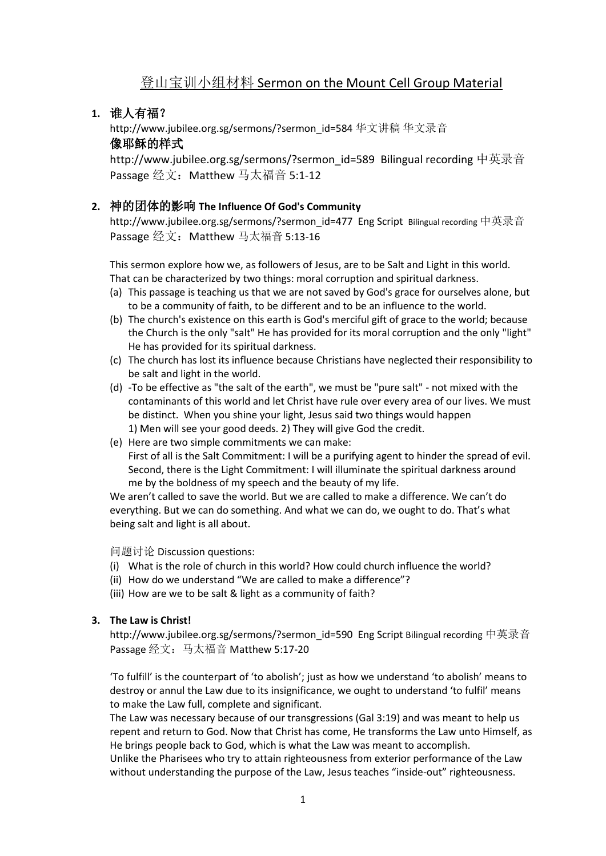# **1.** 谁人有福?

http://www.jubilee.org.sg/sermons/?sermon\_id=584 华文讲稿 华文录音 像耶稣的样式

http://www.jubilee.org.sg/sermons/?sermon\_id=589 Bilingual recording 中英录音 Passage 经文: Matthew 马太福音 5:1-12

# **2.** 神的团体的影响 **The Influence Of God's Community**

http://www.jubilee.org.sg/sermons/?sermon\_id=477 Eng Script Bilingual recording 中英录音 Passage 经文: Matthew 马太福音 5:13-16

This sermon explore how we, as followers of Jesus, are to be Salt and Light in this world. That can be characterized by two things: moral corruption and spiritual darkness.

- (a) This passage is teaching us that we are not saved by God's grace for ourselves alone, but to be a community of faith, to be different and to be an influence to the world.
- (b) The church's existence on this earth is God's merciful gift of grace to the world; because the Church is the only "salt" He has provided for its moral corruption and the only "light" He has provided for its spiritual darkness.
- (c) The church has lost its influence because Christians have neglected their responsibility to be salt and light in the world.
- (d) -To be effective as "the salt of the earth", we must be "pure salt" not mixed with the contaminants of this world and let Christ have rule over every area of our lives. We must be distinct. When you shine your light, Jesus said two things would happen 1) Men will see your good deeds. 2) They will give God the credit.
- (e) Here are two simple commitments we can make: First of all is the Salt Commitment: I will be a purifying agent to hinder the spread of evil. Second, there is the Light Commitment: I will illuminate the spiritual darkness around me by the boldness of my speech and the beauty of my life.

We aren't called to save the world. But we are called to make a difference. We can't do everything. But we can do something. And what we can do, we ought to do. That's what being salt and light is all about.

问题讨论 Discussion questions:

- (i) What is the role of church in this world? How could church influence the world?
- (ii) How do we understand "We are called to make a difference"?
- (iii) How are we to be salt & light as a community of faith?

# **3. The Law is Christ!**

http://www.jubilee.org.sg/sermons/?sermon\_id=590 Eng Script Bilingual recording 中英录音 Passage 经文:马太福音 Matthew 5:17-20

'To fulfill' is the counterpart of 'to abolish'; just as how we understand 'to abolish' means to destroy or annul the Law due to its insignificance, we ought to understand 'to fulfil' means to make the Law full, complete and significant.

The Law was necessary because of our transgressions (Gal 3:19) and was meant to help us repent and return to God. Now that Christ has come, He transforms the Law unto Himself, as He brings people back to God, which is what the Law was meant to accomplish.

Unlike the Pharisees who try to attain righteousness from exterior performance of the Law without understanding the purpose of the Law, Jesus teaches "inside-out" righteousness.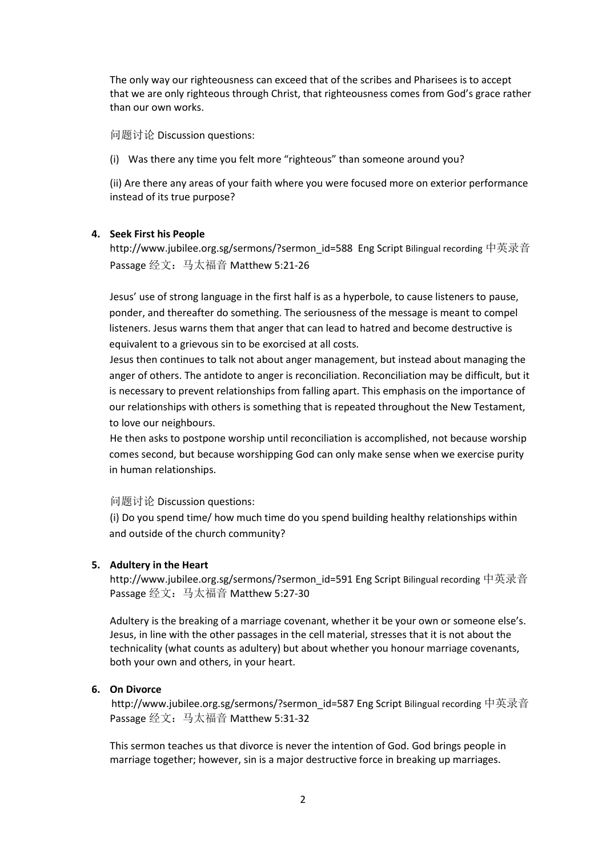The only way our righteousness can exceed that of the scribes and Pharisees is to accept that we are only righteous through Christ, that righteousness comes from God's grace rather than our own works.

问题讨论 Discussion questions:

(i) Was there any time you felt more "righteous" than someone around you?

(ii) Are there any areas of your faith where you were focused more on exterior performance instead of its true purpose?

## **4. Seek First his People**

http://www.jubilee.org.sg/sermons/?sermon\_id=588\_Eng Script Bilingual recording 中英录音 Passage 经文:马太福音 Matthew 5:21-26

Jesus' use of strong language in the first half is as a hyperbole, to cause listeners to pause, ponder, and thereafter do something. The seriousness of the message is meant to compel listeners. Jesus warns them that anger that can lead to hatred and become destructive is equivalent to a grievous sin to be exorcised at all costs.

Jesus then continues to talk not about anger management, but instead about managing the anger of others. The antidote to anger is reconciliation. Reconciliation may be difficult, but it is necessary to prevent relationships from falling apart. This emphasis on the importance of our relationships with others is something that is repeated throughout the New Testament, to love our neighbours.

He then asks to postpone worship until reconciliation is accomplished, not because worship comes second, but because worshipping God can only make sense when we exercise purity in human relationships.

## 问题讨论 Discussion questions:

(i) Do you spend time/ how much time do you spend building healthy relationships within and outside of the church community?

#### **5. Adultery in the Heart**

http://www.jubilee.org.sg/sermons/?sermon\_id=591 Eng Script Bilingual recording 中英录音 Passage 经文:马太福音 Matthew 5:27-30

Adultery is the breaking of a marriage covenant, whether it be your own or someone else's. Jesus, in line with the other passages in the cell material, stresses that it is not about the technicality (what counts as adultery) but about whether you honour marriage covenants, both your own and others, in your heart.

## **6. On Divorce**

http://www.jubilee.org.sg/sermons/?sermon\_id=587 Eng Script Bilingual recording 中英录音 Passage 经文:马太福音 Matthew 5:31-32

This sermon teaches us that divorce is never the intention of God. God brings people in marriage together; however, sin is a major destructive force in breaking up marriages.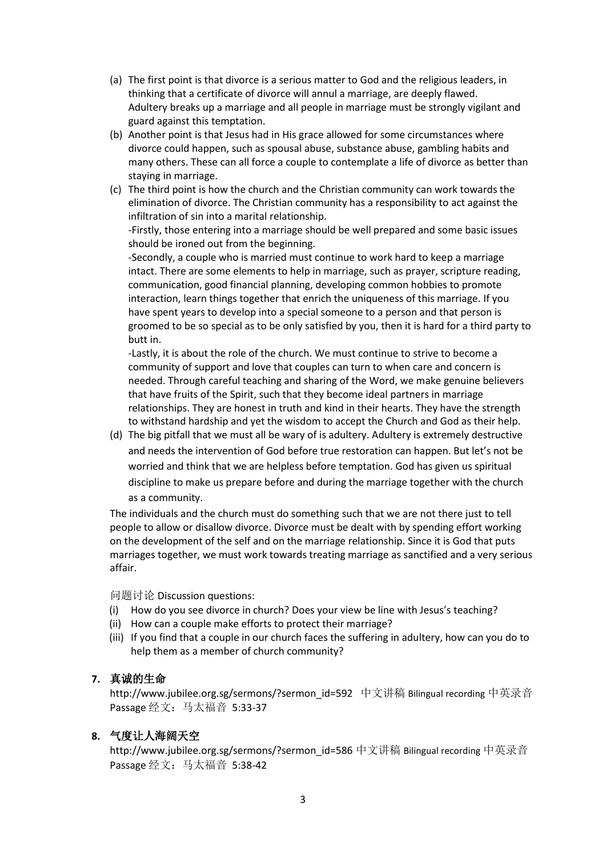- (a) The first point is that divorce is a serious matter to God and the religious leaders, in thinking that a certificate of divorce will annul a marriage, are deeply flawed. Adultery breaks up a marriage and all people in marriage must be strongly vigilant and guard against this temptation.
- (b) Another point is that Jesus had in His grace allowed for some circumstances where divorce could happen, such as spousal abuse, substance abuse, gambling habits and many others. These can all force a couple to contemplate a life of divorce as better than staying in marriage.
- (c) The third point is how the church and the Christian community can work towards the elimination of divorce. The Christian community has a responsibility to act against the infiltration of sin into a marital relationship.

-Firstly, those entering into a marriage should be well prepared and some basic issues should be ironed out from the beginning.

-Secondly, a couple who is married must continue to work hard to keep a marriage intact. There are some elements to help in marriage, such as prayer, scripture reading, communication, good financial planning, developing common hobbies to promote interaction, learn things together that enrich the uniqueness of this marriage. If you have spent years to develop into a special someone to a person and that person is groomed to be so special as to be only satisfied by you, then it is hard for a third party to butt in.

-Lastly, it is about the role of the church. We must continue to strive to become a community of support and love that couples can turn to when care and concern is needed. Through careful teaching and sharing of the Word, we make genuine believers that have fruits of the Spirit, such that they become ideal partners in marriage relationships. They are honest in truth and kind in their hearts. They have the strength to withstand hardship and yet the wisdom to accept the Church and God as their help.

(d) The big pitfall that we must all be wary of is adultery. Adultery is extremely destructive and needs the intervention of God before true restoration can happen. But let's not be worried and think that we are helpless before temptation. God has given us spiritual discipline to make us prepare before and during the marriage together with the church as a community.

The individuals and the church must do something such that we are not there just to tell people to allow or disallow divorce. Divorce must be dealt with by spending effort working on the development of the self and on the marriage relationship. Since it is God that puts marriages together, we must work towards treating marriage as sanctified and a very serious affair.

问题讨论 Discussion questions:

- (i) How do you see divorce in church? Does your view be line with Jesus's teaching?
- (ii) How can a couple make efforts to protect their marriage?
- (iii) If you find that a couple in our church faces the suffering in adultery, how can you do to help them as a member of church community?

# **7.** 真诚的生命

http://www.jubilee.org.sg/sermons/?sermon\_id=592 中文讲稿 Bilingual recording 中英录音 Passage 经文:马太福音 5:33-37

# **8.** 气度让人海阔天空

http://www.jubilee.org.sg/sermons/?sermon\_id=586 中文讲稿 Bilingual recording 中英录音 Passage 经文:马太福音 5:38-42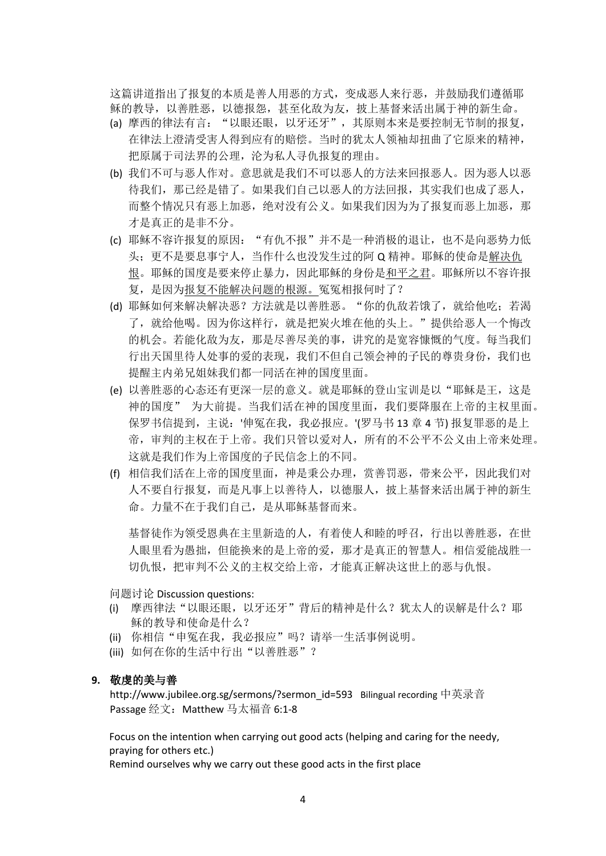这篇讲道指出了报复的本质是善人用恶的方式,变成恶人来行恶,并鼓励我们遵循耶 稣的教导,以善胜恶,以德报怨,甚至化敌为友,披上基督来活出属于神的新生命。 (a) 摩西的律法有言:"以眼还眼,以牙还牙",其原则本来是要控制无节制的报复,

- 在律法上澄清受害人得到应有的赔偿。当时的犹太人领袖却扭曲了它原来的精神, 把原属于司法界的公理,沦为私人寻仇报复的理由。
- (b) 我们不可与恶人作对。意思就是我们不可以恶人的方法来回报恶人。因为恶人以恶 待我们,那已经是错了。如果我们自己以恶人的方法回报,其实我们也成了恶人, 而整个情况只有恶上加恶,绝对没有公义。如果我们因为为了报复而恶上加恶,那 才是真正的是非不分。
- (c) 耶稣不容许报复的原因: "有仇不报"并不是一种消极的退让, 也不是向恶势力低 头;更不是要息事宁人,当作什么也没发生过的阿 Q 精神。耶稣的使命是解决仇 恨。耶稣的国度是要来停止暴力,因此耶稣的身份是和平之君。耶稣所以不容许报 复,是因为报复不能解决问题的根源。冤冤相报何时了?
- (d) 耶稣如何来解决解决恶?方法就是以善胜恶。"你的仇敌若饿了,就给他吃;若渴 了,就给他喝。因为你这样行,就是把炭火堆在他的头上。"提供给恶人一个悔改 的机会。若能化敌为友,那是尽善尽美的事,讲究的是宽容慷慨的气度。每当我们 行出天国里待人处事的爱的表现,我们不但自己领会神的子民的尊贵身份,我们也 提醒主内弟兄姐妹我们都一同活在神的国度里面。
- (e) 以善胜恶的心态还有更深一层的意义。就是耶稣的登山宝训是以"耶稣是王,这是 神的国度" 为大前提。当我们活在神的国度里面,我们要降服在上帝的主权里面。 保罗书信提到,主说:'伸冤在我,我必报应。'(罗马书 13 章 4 节) 报复罪恶的是上 帝,审判的主权在于上帝。我们只管以爱对人,所有的不公平不公义由上帝来处理。 这就是我们作为上帝国度的子民信念上的不同。
- (f) 相信我们活在上帝的国度里面,神是秉公办理,赏善罚恶,带来公平,因此我们对 人不要自行报复,而是凡事上以善待人,以德服人,披上基督来活出属于神的新生 命。力量不在于我们自己,是从耶稣基督而来。

基督徒作为领受恩典在主里新造的人,有着使人和睦的呼召,行出以善胜恶,在世 人眼里看为愚拙,但能换来的是上帝的爱,那才是真正的智慧人。相信爱能战胜一 切仇恨,把审判不公义的主权交给上帝,才能真正解决这世上的恶与仇恨。

问题讨论 Discussion questions:

- (i) 摩西律法"以眼还眼, 以牙还牙"背后的精神是什么?犹太人的误解是什么?耶 稣的教导和使命是什么?
- (ii) 你相信"申冤在我, 我必报应"吗?请举一生活事例说明。
- (iii) 如何在你的生活中行出"以善胜恶"?

#### **9.** 敬虔的美与善

http://www.jubilee.org.sg/sermons/?sermon\_id=593 Bilingual recording 中英录音 Passage 经文: Matthew 马太福音 6:1-8

Focus on the intention when carrying out good acts (helping and caring for the needy, praying for others etc.)

Remind ourselves why we carry out these good acts in the first place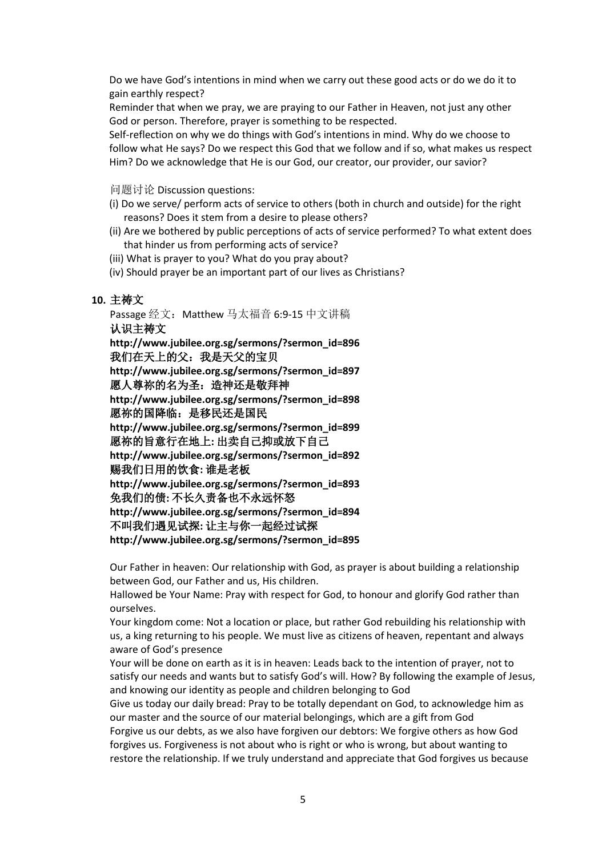Do we have God's intentions in mind when we carry out these good acts or do we do it to gain earthly respect?

Reminder that when we pray, we are praying to our Father in Heaven, not just any other God or person. Therefore, prayer is something to be respected.

Self-reflection on why we do things with God's intentions in mind. Why do we choose to follow what He says? Do we respect this God that we follow and if so, what makes us respect Him? Do we acknowledge that He is our God, our creator, our provider, our savior?

问题讨论 Discussion questions:

- (i) Do we serve/ perform acts of service to others (both in church and outside) for the right reasons? Does it stem from a desire to please others?
- (ii) Are we bothered by public perceptions of acts of service performed? To what extent does that hinder us from performing acts of service?
- (iii) What is prayer to you? What do you pray about?
- (iv) Should prayer be an important part of our lives as Christians?

## **10.** 主祷文

Passage 经文: Matthew 马太福音 6:9-15 中文讲稿 认识主祷文 **http://www.jubilee.org.sg/sermons/?sermon\_id=896** 我们在天上的父:我是天父的宝贝 **http://www.jubilee.org.sg/sermons/?sermon\_id=897** 愿人尊祢的名为圣:造神还是敬拜神 **http://www.jubilee.org.sg/sermons/?sermon\_id=898** 愿祢的国降临:是移民还是国民 **http://www.jubilee.org.sg/sermons/?sermon\_id=899** 愿祢的旨意行在地上**:** 出卖自己抑或放下自己 **http://www.jubilee.org.sg/sermons/?sermon\_id=892** 赐我们日用的饮食**:** 谁是老板 **http://www.jubilee.org.sg/sermons/?sermon\_id=893** 免我们的债**:** 不长久责备也不永远怀怒 **http://www.jubilee.org.sg/sermons/?sermon\_id=894** 不叫我们遇见试探**:** 让主与你一起经过试探 **http://www.jubilee.org.sg/sermons/?sermon\_id=895**

Our Father in heaven: Our relationship with God, as prayer is about building a relationship between God, our Father and us, His children.

Hallowed be Your Name: Pray with respect for God, to honour and glorify God rather than ourselves.

Your kingdom come: Not a location or place, but rather God rebuilding his relationship with us, a king returning to his people. We must live as citizens of heaven, repentant and always aware of God's presence

Your will be done on earth as it is in heaven: Leads back to the intention of prayer, not to satisfy our needs and wants but to satisfy God's will. How? By following the example of Jesus, and knowing our identity as people and children belonging to God

Give us today our daily bread: Pray to be totally dependant on God, to acknowledge him as our master and the source of our material belongings, which are a gift from God Forgive us our debts, as we also have forgiven our debtors: We forgive others as how God forgives us. Forgiveness is not about who is right or who is wrong, but about wanting to restore the relationship. If we truly understand and appreciate that God forgives us because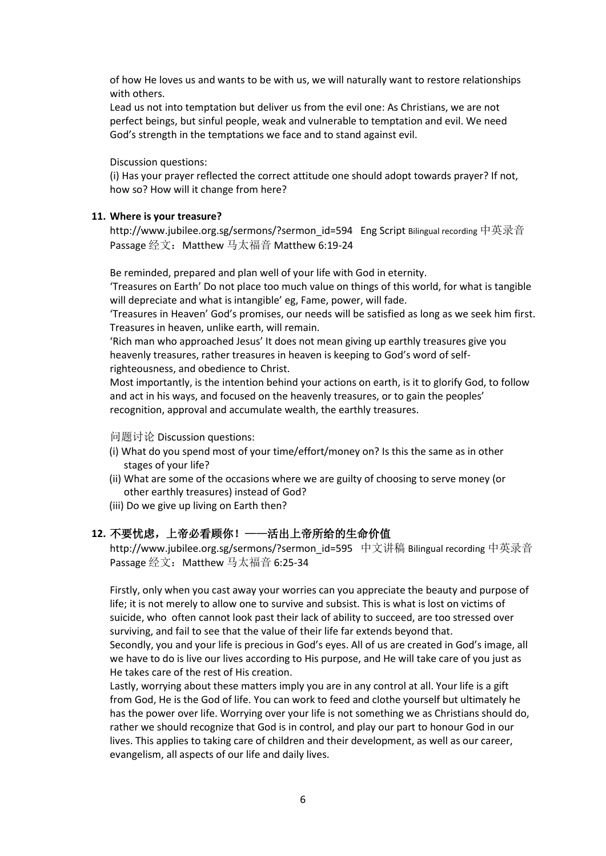of how He loves us and wants to be with us, we will naturally want to restore relationships with others.

Lead us not into temptation but deliver us from the evil one: As Christians, we are not perfect beings, but sinful people, weak and vulnerable to temptation and evil. We need God's strength in the temptations we face and to stand against evil.

Discussion questions:

(i) Has your prayer reflected the correct attitude one should adopt towards prayer? If not, how so? How will it change from here?

# **11. Where is your treasure?**

http://www.jubilee.org.sg/sermons/?sermon\_id=594 Eng Script Bilingual recording 中英录音 Passage 经文: Matthew 马太福音 Matthew 6:19-24

Be reminded, prepared and plan well of your life with God in eternity.

'Treasures on Earth' Do not place too much value on things of this world, for what is tangible will depreciate and what is intangible' eg, Fame, power, will fade.

'Treasures in Heaven' God's promises, our needs will be satisfied as long as we seek him first. Treasures in heaven, unlike earth, will remain.

'Rich man who approached Jesus' It does not mean giving up earthly treasures give you heavenly treasures, rather treasures in heaven is keeping to God's word of selfrighteousness, and obedience to Christ.

Most importantly, is the intention behind your actions on earth, is it to glorify God, to follow and act in his ways, and focused on the heavenly treasures, or to gain the peoples' recognition, approval and accumulate wealth, the earthly treasures.

问题讨论 Discussion questions:

- (i) What do you spend most of your time/effort/money on? Is this the same as in other stages of your life?
- (ii) What are some of the occasions where we are guilty of choosing to serve money (or other earthly treasures) instead of God?
- (iii) Do we give up living on Earth then?

# **12.** 不要忧虑,上帝必看顾你!——活出上帝所给的生命价值

http://www.jubilee.org.sg/sermons/?sermon\_id=595 中文讲稿 Bilingual recording 中英录音 Passage 经文: Matthew 马太福音 6:25-34

Firstly, only when you cast away your worries can you appreciate the beauty and purpose of life; it is not merely to allow one to survive and subsist. This is what is lost on victims of suicide, who often cannot look past their lack of ability to succeed, are too stressed over surviving, and fail to see that the value of their life far extends beyond that.

Secondly, you and your life is precious in God's eyes. All of us are created in God's image, all we have to do is live our lives according to His purpose, and He will take care of you just as He takes care of the rest of His creation.

Lastly, worrying about these matters imply you are in any control at all. Your life is a gift from God, He is the God of life. You can work to feed and clothe yourself but ultimately he has the power over life. Worrying over your life is not something we as Christians should do, rather we should recognize that God is in control, and play our part to honour God in our lives. This applies to taking care of children and their development, as well as our career, evangelism, all aspects of our life and daily lives.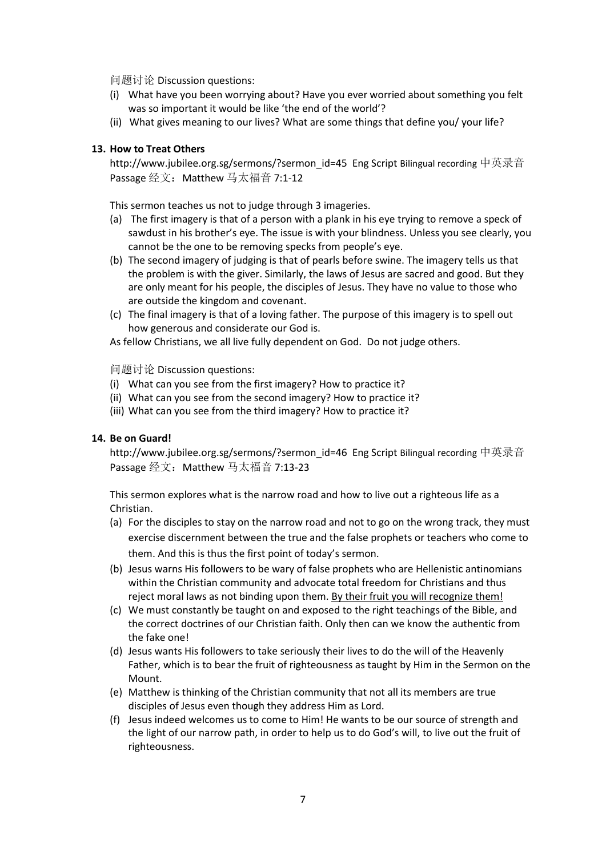问题讨论 Discussion questions:

- (i) What have you been worrying about? Have you ever worried about something you felt was so important it would be like 'the end of the world'?
- (ii) What gives meaning to our lives? What are some things that define you/ your life?

# **13. How to Treat Others**

http://www.jubilee.org.sg/sermons/?sermon\_id=45 Eng Script Bilingual recording 中英录音 Passage 经文: Matthew 马太福音 7:1-12

This sermon teaches us not to judge through 3 imageries.

- (a) The first imagery is that of a person with a plank in his eye trying to remove a speck of sawdust in his brother's eye. The issue is with your blindness. Unless you see clearly, you cannot be the one to be removing specks from people's eye.
- (b) The second imagery of judging is that of pearls before swine. The imagery tells us that the problem is with the giver. Similarly, the laws of Jesus are sacred and good. But they are only meant for his people, the disciples of Jesus. They have no value to those who are outside the kingdom and covenant.
- (c) The final imagery is that of a loving father. The purpose of this imagery is to spell out how generous and considerate our God is.
- As fellow Christians, we all live fully dependent on God. Do not judge others.

问题讨论 Discussion questions:

- (i) What can you see from the first imagery? How to practice it?
- (ii) What can you see from the second imagery? How to practice it?
- (iii) What can you see from the third imagery? How to practice it?

## **14. Be on Guard!**

http://www.jubilee.org.sg/sermons/?sermon\_id=46 Eng Script Bilingual recording 中英录音 Passage 经文: Matthew 马太福音 7:13-23

This sermon explores what is the narrow road and how to live out a righteous life as a Christian.

- (a) For the disciples to stay on the narrow road and not to go on the wrong track, they must exercise discernment between the true and the false prophets or teachers who come to them. And this is thus the first point of today's sermon.
- (b) Jesus warns His followers to be wary of false prophets who are Hellenistic antinomians within the Christian community and advocate total freedom for Christians and thus reject moral laws as not binding upon them. By their fruit you will recognize them!
- (c) We must constantly be taught on and exposed to the right teachings of the Bible, and the correct doctrines of our Christian faith. Only then can we know the authentic from the fake one!
- (d) Jesus wants His followers to take seriously their lives to do the will of the Heavenly Father, which is to bear the fruit of righteousness as taught by Him in the Sermon on the Mount.
- (e) Matthew is thinking of the Christian community that not all its members are true disciples of Jesus even though they address Him as Lord.
- (f) Jesus indeed welcomes us to come to Him! He wants to be our source of strength and the light of our narrow path, in order to help us to do God's will, to live out the fruit of righteousness.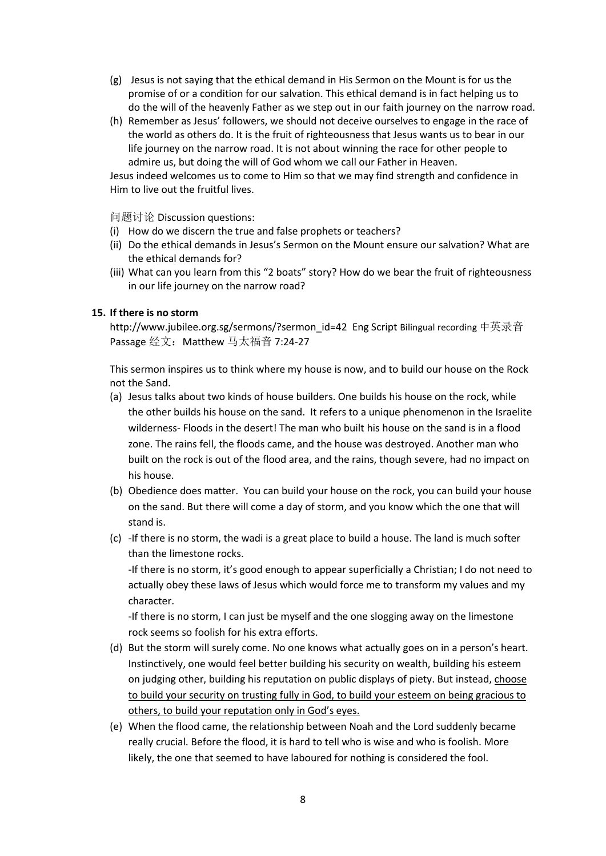- (g) Jesus is not saying that the ethical demand in His Sermon on the Mount is for us the promise of or a condition for our salvation. This ethical demand is in fact helping us to do the will of the heavenly Father as we step out in our faith journey on the narrow road.
- (h) Remember as Jesus' followers, we should not deceive ourselves to engage in the race of the world as others do. It is the fruit of righteousness that Jesus wants us to bear in our life journey on the narrow road. It is not about winning the race for other people to admire us, but doing the will of God whom we call our Father in Heaven.

Jesus indeed welcomes us to come to Him so that we may find strength and confidence in Him to live out the fruitful lives.

问题讨论 Discussion questions:

- (i) How do we discern the true and false prophets or teachers?
- (ii) Do the ethical demands in Jesus's Sermon on the Mount ensure our salvation? What are the ethical demands for?
- (iii) What can you learn from this "2 boats" story? How do we bear the fruit of righteousness in our life journey on the narrow road?

## **15. If there is no storm**

http://www.jubilee.org.sg/sermons/?sermon\_id=42 Eng Script Bilingual recording 中英录音 Passage 经文: Matthew 马太福音 7:24-27

This sermon inspires us to think where my house is now, and to build our house on the Rock not the Sand.

- (a) Jesus talks about two kinds of house builders. One builds his house on the rock, while the other builds his house on the sand. It refers to a unique phenomenon in the Israelite wilderness- Floods in the desert! The man who built his house on the sand is in a flood zone. The rains fell, the floods came, and the house was destroyed. Another man who built on the rock is out of the flood area, and the rains, though severe, had no impact on his house.
- (b) Obedience does matter. You can build your house on the rock, you can build your house on the sand. But there will come a day of storm, and you know which the one that will stand is.
- (c) -If there is no storm, the wadi is a great place to build a house. The land is much softer than the limestone rocks.

-If there is no storm, it's good enough to appear superficially a Christian; I do not need to actually obey these laws of Jesus which would force me to transform my values and my character.

-If there is no storm, I can just be myself and the one slogging away on the limestone rock seems so foolish for his extra efforts.

- (d) But the storm will surely come. No one knows what actually goes on in a person's heart. Instinctively, one would feel better building his security on wealth, building his esteem on judging other, building his reputation on public displays of piety. But instead, choose to build your security on trusting fully in God, to build your esteem on being gracious to others, to build your reputation only in God's eyes.
- (e) When the flood came, the relationship between Noah and the Lord suddenly became really crucial. Before the flood, it is hard to tell who is wise and who is foolish. More likely, the one that seemed to have laboured for nothing is considered the fool.